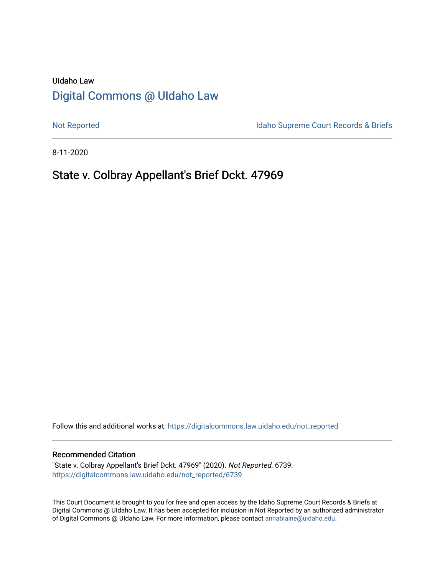# UIdaho Law [Digital Commons @ UIdaho Law](https://digitalcommons.law.uidaho.edu/)

[Not Reported](https://digitalcommons.law.uidaho.edu/not_reported) **Idaho Supreme Court Records & Briefs** 

8-11-2020

# State v. Colbray Appellant's Brief Dckt. 47969

Follow this and additional works at: [https://digitalcommons.law.uidaho.edu/not\\_reported](https://digitalcommons.law.uidaho.edu/not_reported?utm_source=digitalcommons.law.uidaho.edu%2Fnot_reported%2F6739&utm_medium=PDF&utm_campaign=PDFCoverPages) 

#### Recommended Citation

"State v. Colbray Appellant's Brief Dckt. 47969" (2020). Not Reported. 6739. [https://digitalcommons.law.uidaho.edu/not\\_reported/6739](https://digitalcommons.law.uidaho.edu/not_reported/6739?utm_source=digitalcommons.law.uidaho.edu%2Fnot_reported%2F6739&utm_medium=PDF&utm_campaign=PDFCoverPages)

This Court Document is brought to you for free and open access by the Idaho Supreme Court Records & Briefs at Digital Commons @ UIdaho Law. It has been accepted for inclusion in Not Reported by an authorized administrator of Digital Commons @ UIdaho Law. For more information, please contact [annablaine@uidaho.edu](mailto:annablaine@uidaho.edu).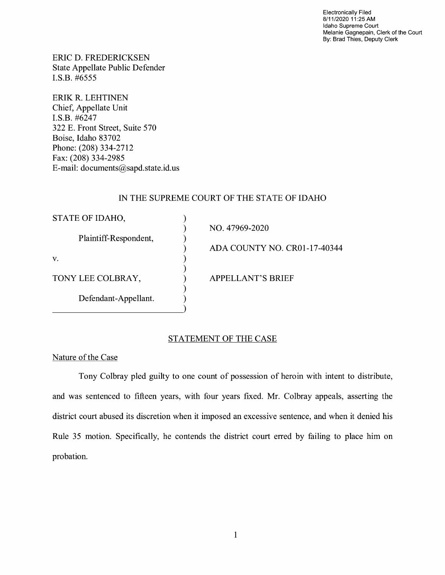Electronically Filed 8/11/2020 11 :25 AM Idaho Supreme Court Melanie Gagnepain, Clerk of the Court By: Brad Thies, Deputy Clerk

ERIC D. FREDERICKSEN State Appellate Public Defender I.S.B. #6555

ERIK R. LEHTINEN Chief, Appellate Unit I.S.B. #6247 322 E. Front Street, Suite 570 Boise, Idaho 83702 Phone: (208) 334-2712 Fax: (208) 334-2985 E-mail: documents@sapd.state.id. us

## IN THE SUPREME COURT OF THE STATE OF IDAHO

| STATE OF IDAHO,       |                              |
|-----------------------|------------------------------|
|                       | NO. 47969-2020               |
| Plaintiff-Respondent, |                              |
|                       | ADA COUNTY NO. CR01-17-40344 |
| V.                    |                              |
|                       |                              |
| TONY LEE COLBRAY,     | <b>APPELLANT'S BRIEF</b>     |
|                       |                              |
| Defendant-Appellant.  |                              |
|                       |                              |

## STATEMENT OF THE CASE

Nature of the Case

Tony Colbray pied guilty to one count of possession of heroin with intent to distribute, and was sentenced to fifteen years, with four years fixed. Mr. Colbray appeals, asserting the district court abused its discretion when it imposed an excessive sentence, and when it denied his Rule 35 motion. Specifically, he contends the district court erred by failing to place him on probation.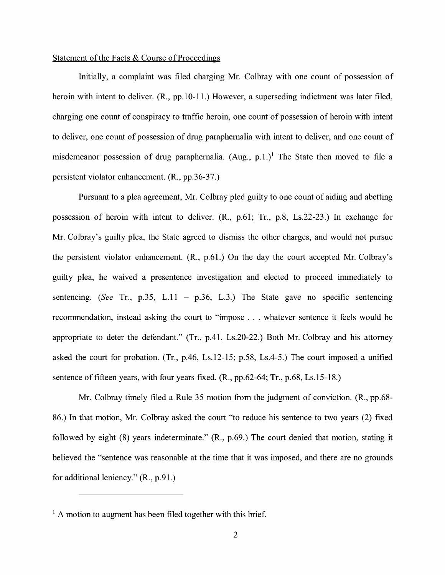#### Statement of the Facts & Course of Proceedings

Initially, a complaint was filed charging Mr. Colbray with one count of possession of heroin with intent to deliver. (R., pp.10-11.) However, a superseding indictment was later filed, charging one count of conspiracy to traffic heroin, one count of possession of heroin with intent to deliver, one count of possession of drug paraphernalia with intent to deliver, and one count of misdemeanor possession of drug paraphernalia. (Aug., p.1.)<sup>1</sup> The State then moved to file a persistent violator enhancement. (R., pp.36-37.)

Pursuant to a plea agreement, Mr. Colbray pled guilty to one count of aiding and abetting possession of heroin with intent to deliver. (R., p.61; Tr., p.8, Ls.22-23.) In exchange for Mr. Colbray's guilty plea, the State agreed to dismiss the other charges, and would not pursue the persistent violator enhancement. (R., p.61.) On the day the court accepted Mr. Colbray's guilty plea, he waived a presentence investigation and elected to proceed immediately to sentencing. *(See Tr., p.35, L.11 - p.36, L.3.)* The State gave no specific sentencing recommendation, instead asking the court to "impose ... whatever sentence it feels would be appropriate to deter the defendant." (Tr., p.41, Ls.20-22.) Both Mr. Colbray and his attorney asked the court for probation. (Tr., p.46, Ls.12-15; p.58, Ls.4-5.) The court imposed a unified sentence of fifteen years, with four years fixed. (R., pp.62-64; Tr., p.68, Ls.15-18.)

Mr. Colbray timely filed a Rule 35 motion from the judgment of conviction. (R., pp.68- 86.) In that motion, Mr. Colbray asked the court "to reduce his sentence to two years (2) fixed followed by eight (8) years indeterminate." (R., p.69.) The court denied that motion, stating it believed the "sentence was reasonable at the time that it was imposed, and there are no grounds for additional leniency." (R., p.91.)

 $<sup>1</sup>$  A motion to augment has been filed together with this brief.</sup>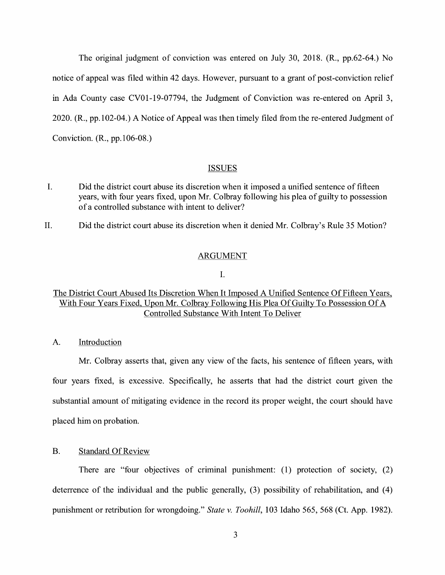The original judgment of conviction was entered on July 30, 2018. (R., pp.62-64.) No notice of appeal was filed within 42 days. However, pursuant to a grant of post-conviction relief in Ada County case CV0l-19-07794, the Judgment of Conviction was re-entered on April 3, 2020. (R., pp.102-04.) A Notice of Appeal was then timely filed from the re-entered Judgment of Conviction. (R., pp.106-08.)

#### ISSUES

- I. Did the district court abuse its discretion when it imposed a unified sentence of fifteen years, with four years fixed, upon Mr. Colbray following his plea of guilty to possession of a controlled substance with intent to deliver?
- II. Did the district court abuse its discretion when it denied Mr. Colbray's Rule 35 Motion?

### ARGUMENT

I.

## The District Court Abused Its Discretion When It Imposed A Unified Sentence Of Fifteen Years, With Four Years Fixed, Upon Mr. Colbray Following His Plea Of Guilty To Possession Of A Controlled Substance With Intent To Deliver

A. Introduction

Mr. Colbray asserts that, given any view of the facts, his sentence of fifteen years, with four years fixed, is excessive. Specifically, he asserts that had the district court given the substantial amount of mitigating evidence in the record its proper weight, the court should have placed him on probation.

## B. Standard Of Review

There are "four objectives of criminal punishment: (1) protection of society, (2) deterrence of the individual and the public generally,  $(3)$  possibility of rehabilitation, and  $(4)$ punishment or retribution for wrongdoing." *State v. Toohill,* 103 Idaho 565, 568 (Ct. App. 1982).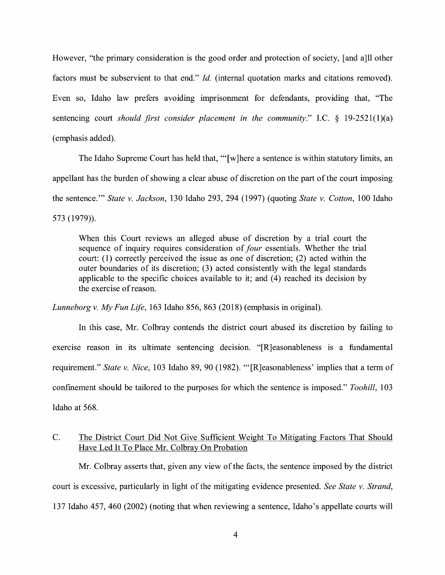However, "the primary consideration is the good order and protection of society, [and a]ll other factors must be subservient to that end." *Id.* (internal quotation marks and citations removed). Even so, Idaho law prefers avoiding imprisonment for defendants, providing that, "The sentencing court *should first consider placement in the community."* I.C. § 19-2521(1)(a) ( emphasis added).

The Idaho Supreme Court has held that, "'[w]here a sentence is within statutory limits, an appellant has the burden of showing a clear abuse of discretion on the part of the court imposing the sentence."' *State v. Jackson,* 130 Idaho 293, 294 (1997) (quoting *State v. Cotton,* 100 Idaho 573 (1979)).

When this Court reviews an alleged abuse of discretion by a trial court the sequence of inquiry requires consideration of *four* essentials. Whether the trial court: (1) correctly perceived the issue as one of discretion; (2) acted within the outer boundaries of its discretion; (3) acted consistently with the legal standards applicable to the specific choices available to it; and  $(4)$  reached its decision by the exercise of reason.

*Lunneborg v. My Fun Life,* 163 Idaho 856, 863 (2018) (emphasis in original).

In this case, Mr. Colbray contends the district court abused its discretion by failing to exercise reason in its ultimate sentencing decision. "[R]easonableness is a fundamental requirement." *State v. Nice,* 103 Idaho 89, 90 (1982). "'[R]easonableness' implies that a term of confinement should be tailored to the purposes for which the sentence is imposed." *Toohill,* 103 Idaho at 568.

## C. The District Court Did Not Give Sufficient Weight To Mitigating Factors That Should Have Led It To Place Mr. Colbray On Probation

Mr. Colbray asserts that, given any view of the facts, the sentence imposed by the district court is excessive, particularly in light of the mitigating evidence presented. *See State v. Strand,*  137 Idaho 457, 460 (2002) (noting that when reviewing a sentence, Idaho's appellate courts will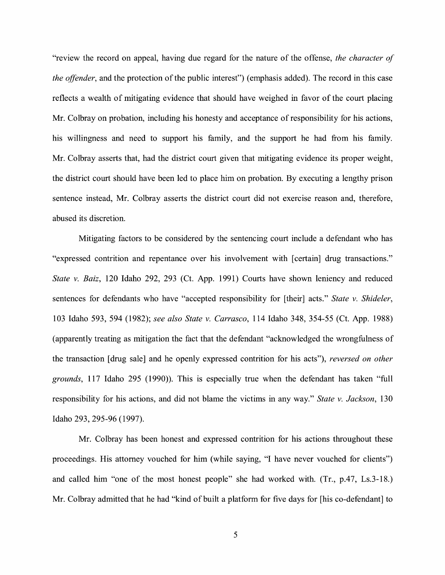"review the record on appeal, having due regard for the nature of the offense, *the character of the offender*, and the protection of the public interest") (emphasis added). The record in this case reflects a wealth of mitigating evidence that should have weighed in favor of the court placing Mr. Colbray on probation, including his honesty and acceptance of responsibility for his actions, his willingness and need to support his family, and the support he had from his family. Mr. Colbray asserts that, had the district court given that mitigating evidence its proper weight, the district court should have been led to place him on probation. By executing a lengthy prison sentence instead, Mr. Colbray asserts the district court did not exercise reason and, therefore, abused its discretion.

Mitigating factors to be considered by the sentencing court include a defendant who has "expressed contrition and repentance over his involvement with [certain] drug transactions." *State v. Baiz,* 120 Idaho 292, 293 (Ct. App. 1991) Courts have shown leniency and reduced sentences for defendants who have "accepted responsibility for [their] acts." *State v. Shideler,*  103 Idaho 593, 594 (1982); *see also State v. Carrasco,* 114 Idaho 348, 354-55 (Ct. App. 1988) (apparently treating as mitigation the fact that the defendant "acknowledged the wrongfulness of the transaction [ drug sale] and he openly expressed contrition for his acts"), *reversed on other grounds,* 117 Idaho 295 (1990)). This is especially true when the defendant has taken "full responsibility for his actions, and did not blame the victims in any way." *State v. Jackson,* 130 Idaho 293, 295-96 (1997).

Mr. Colbray has been honest and expressed contrition for his actions throughout these proceedings. His attorney vouched for him (while saying, "I have never vouched for clients") and called him "one of the most honest people" she had worked with. (Tr., p.47, Ls.3-18.) Mr. Colbray admitted that he had "kind of built a platform for five days for [his co-defendant] to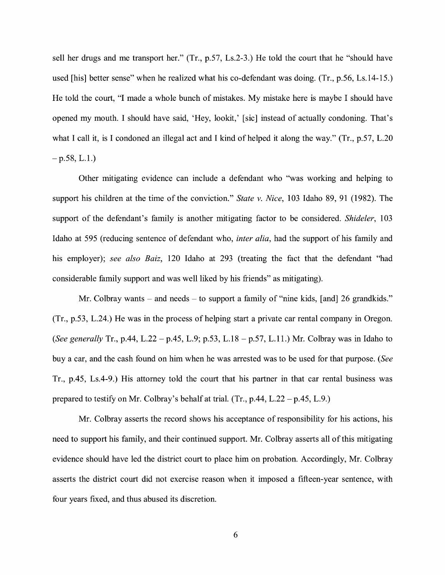sell her drugs and me transport her." (Tr., p.57, Ls.2-3.) He told the court that he "should have used [his] better sense" when he realized what his co-defendant was doing. (Tr., p.56, Ls.14-15.) He told the court, "I made a whole bunch of mistakes. My mistake here is maybe I should have opened my mouth. I should have said, 'Hey, lookit,' [sic] instead of actually condoning. That's what I call it, is I condoned an illegal act and I kind of helped it along the way." (Tr., p.57, L.20)  $-$  p.58, L.1.)

Other mitigating evidence can include a defendant who "was working and helping to support his children at the time of the conviction." *State v. Nice,* 103 Idaho 89, 91 (1982). The support of the defendant's family is another mitigating factor to be considered. *Shideler,* 103 Idaho at 595 (reducing sentence of defendant who, *inter alia,* had the support of his family and his employer); *see also Baiz,* 120 Idaho at 293 (treating the fact that the defendant "had considerable family support and was well liked by his friends" as mitigating).

Mr. Colbray wants – and needs – to support a family of "nine kids, [and] 26 grandkids." (Tr., p.53, L.24.) He was in the process of helping start a private car rental company in Oregon. *(See generally* Tr., p.44, L.22 - p.45, L.9; p.53, L.18 - p.57, L.11.) Mr. Colbray was in Idaho to buy a car, and the cash found on him when he was arrested was to be used for that purpose. *(See*  Tr., p.45, Ls.4-9.) His attorney told the court that his partner in that car rental business was prepared to testify on Mr. Colbray's behalf at trial.  $(Tr, p.44, L.22 - p.45, L.9)$ 

Mr. Colbray asserts the record shows his acceptance of responsibility for his actions, his need to support his family, and their continued support. Mr. Colbray asserts all of this mitigating evidence should have led the district court to place him on probation. Accordingly, Mr. Colbray asserts the district court did not exercise reason when it imposed a fifteen-year sentence, with four years fixed, and thus abused its discretion.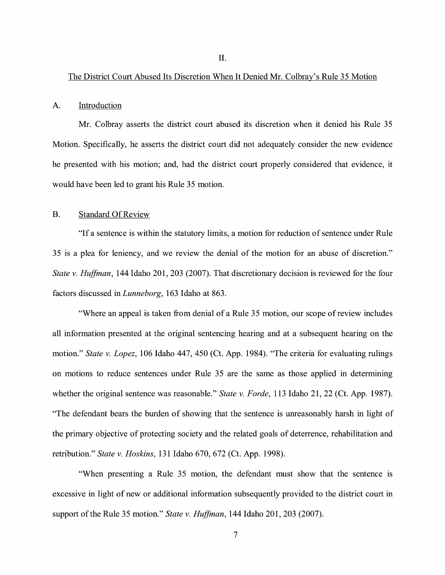#### The District Court Abused Its Discretion When It Denied Mr. Colbray's Rule 35 Motion

#### A. Introduction

Mr. Colbray asserts the district court abused its discretion when it denied his Rule 35 Motion. Specifically, he asserts the district court did not adequately consider the new evidence he presented with his motion; and, had the district court properly considered that evidence, it would have been led to grant his Rule 35 motion.

#### B. Standard Of Review

"If a sentence is within the statutory limits, a motion for reduction of sentence under Rule 35 is a plea for leniency, and we review the denial of the motion for an abuse of discretion." *State v. Huffman,* 144 Idaho 201, 203 (2007). That discretionary decision is reviewed for the four factors discussed in *Lunneborg,* 163 Idaho at 863.

"Where an appeal is taken from denial of a Rule 35 motion, our scope of review includes all information presented at the original sentencing hearing and at a subsequent hearing on the motion." *State v. Lopez,* 106 Idaho 447, 450 (Ct. App. 1984). "The criteria for evaluating rulings on motions to reduce sentences under Rule 35 are the same as those applied in determining whether the original sentence was reasonable." *State v. Forde,* 113 Idaho 21, 22 (Ct. App. 1987). "The defendant bears the burden of showing that the sentence is unreasonably harsh in light of the primary objective of protecting society and the related goals of deterrence, rehabilitation and retribution." *State v. Hoskins,* 131 Idaho 670, 672 (Ct. App. 1998).

"When presenting a Rule 35 motion, the defendant must show that the sentence is excessive in light of new or additional information subsequently provided to the district court in support of the Rule 35 motion." *State v. Huffman,* 144 Idaho 201, 203 (2007).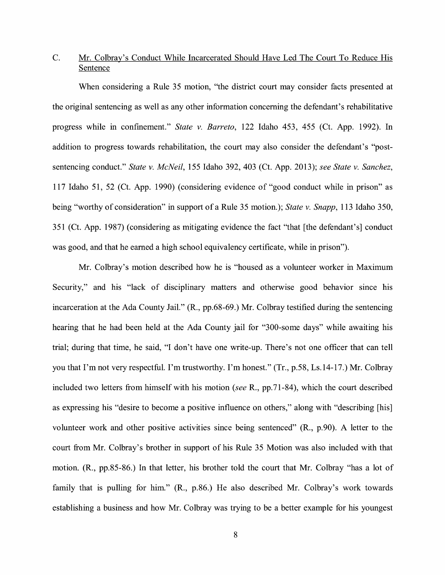# C. Mr. Colbray's Conduct While Incarcerated Should Have Led The Court To Reduce His Sentence

When considering a Rule 35 motion, "the district court may consider facts presented at the original sentencing as well as any other information concerning the defendant's rehabilitative progress while in confinement." *State v. Barreto,* 122 Idaho 453, 455 (Ct. App. 1992). In addition to progress towards rehabilitation, the court may also consider the defendant's "postsentencing conduct." *State v. McNeil,* 155 Idaho 392, 403 (Ct. App. 2013); *see State v. Sanchez,*  117 Idaho 51, 52 (Ct. App. 1990) (considering evidence of "good conduct while in prison" as being "worthy of consideration" in support of a Rule 35 motion.); *State v. Snapp,* 113 Idaho 350, 351 (Ct. App. 1987) (considering as mitigating evidence the fact "that [the defendant's] conduct was good, and that he earned a high school equivalency certificate, while in prison").

Mr. Colbray's motion described how he is "housed as a volunteer worker in Maximum Security," and his "lack of disciplinary matters and otherwise good behavior since his incarceration at the Ada County Jail." (R., pp.68-69.) Mr. Colbray testified during the sentencing hearing that he had been held at the Ada County jail for "300-some days" while awaiting his trial; during that time, he said, "I don't have one write-up. There's not one officer that can tell you that I'm not very respectful. I'm trustworthy. I'm honest." (Tr., p.58, Ls.14-17.) Mr. Colbray included two letters from himself with his motion *(see* R., pp.71-84), which the court described as expressing his "desire to become a positive influence on others," along with "describing [his] volunteer work and other positive activities since being sentenced" **(R.,** p.90). A letter to the court from Mr. Colbray's brother in support of his Rule 35 Motion was also included with that motion. **(R.,** pp.85-86.) In that letter, his brother told the court that Mr. Colbray "has a lot of family that is pulling for him." (R., p.86.) He also described Mr. Colbray's work towards establishing a business and how Mr. Colbray was trying to be a better example for his youngest